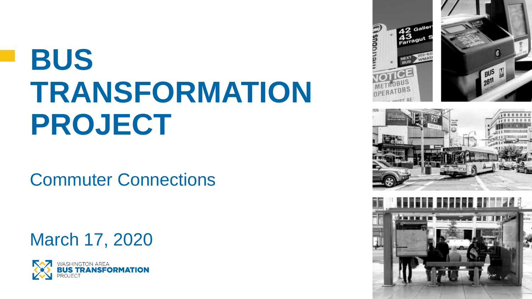# **BUS TRANSFORMATION PROJECT**

Commuter Connections

March 17, 2020





**SNOON** 



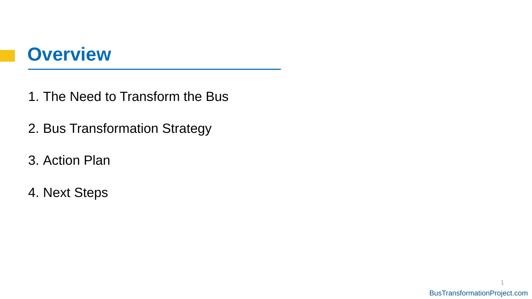## **Overview**

- 1. The Need to Transform the Bus
- 2. Bus Transformation Strategy
- 3. Action Plan
- 4. Next Steps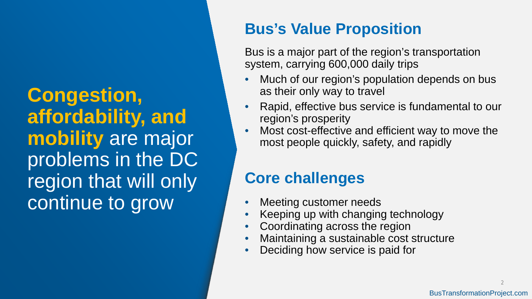**Congestion, affordability, and mobility** are major problems in the DC region that will only continue to grow

## **Bus's Value Proposition**

Bus is a major part of the region's transportation system, carrying 600,000 daily trips

- Much of our region's population depends on bus as their only way to travel
- Rapid, effective bus service is fundamental to our region's prosperity
- Most cost-effective and efficient way to move the most people quickly, safety, and rapidly

## **Core challenges**

- Meeting customer needs
- Keeping up with changing technology
- Coordinating across the region
- Maintaining a sustainable cost structure
- Deciding how service is paid for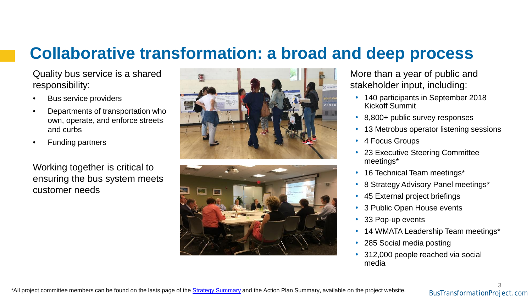## **Collaborative transformation: a broad and deep process**

Quality bus service is a shared responsibility:

- Bus service providers
- Departments of transportation who own, operate, and enforce streets and curbs
- Funding partners

Working together is critical to ensuring the bus system meets customer needs





More than a year of public and stakeholder input, including:

- 140 participants in September 2018 Kickoff Summit
- 8,800+ public survey responses
- 13 Metrobus operator listening sessions
- 4 Focus Groups
- 23 Executive Steering Committee meetings\*
- 16 Technical Team meetings\*
- 8 Strategy Advisory Panel meetings\*
- 45 External project briefings
- 3 Public Open House events
- 33 Pop-up events
- 14 WMATA Leadership Team meetings\*
- 285 Social media posting
- 312,000 people reached via social media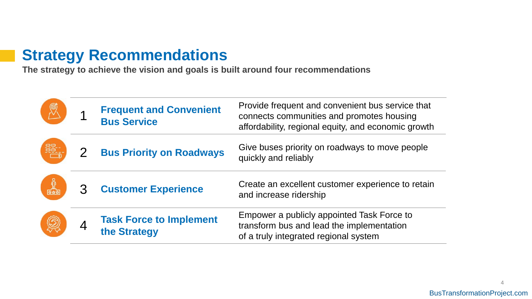### **Strategy Recommendations**

**The strategy to achieve the vision and goals is built around four recommendations**

|   | <b>Frequent and Convenient</b><br><b>Bus Service</b> | Provide frequent and convenient bus service that<br>connects communities and promotes housing<br>affordability, regional equity, and economic growth |
|---|------------------------------------------------------|------------------------------------------------------------------------------------------------------------------------------------------------------|
| 噩 | <b>Bus Priority on Roadways</b>                      | Give buses priority on roadways to move people<br>quickly and reliably                                                                               |
|   | <b>Customer Experience</b>                           | Create an excellent customer experience to retain<br>and increase ridership                                                                          |
|   | <b>Task Force to Implement</b><br>the Strategy       | Empower a publicly appointed Task Force to<br>transform bus and lead the implementation<br>of a truly integrated regional system                     |

4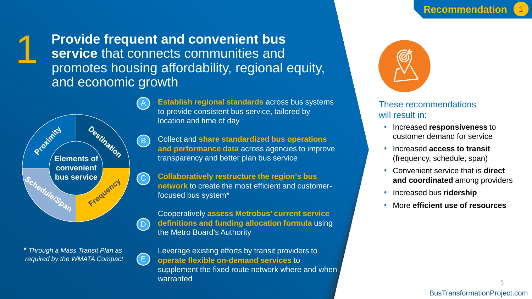

**Provide frequent and convenient bus service** that connects communities and promotes housing affordability, regional equity, and economic growth



*\* Through a Mass Transit Plan as required by the WMATA Compact*  $\left( \begin{array}{c} \end{array} \right)$ 



**Establish regional standards** across bus systems to provide consistent bus service, tailored by location and time of day

Collect and **share standardized bus operations and performance data** across agencies to improve transparency and better plan bus service

**Collaboratively restructure the region's bus network** to create the most efficient and customerfocused bus system\*

Cooperatively **assess Metrobus' current service definitions and funding allocation formula** using the Metro Board's Authority

Leverage existing efforts by transit providers to **operate flexible on-demand services** to supplement the fixed route network where and when warranted



### These recommendations will result in:

- Increased **responsiveness** to customer demand for service
- Increased **access to transit**  (frequency, schedule, span)
- Convenient service that is **direct and coordinated** among providers
- Increased bus **ridership**
- More **efficient use of resources**

5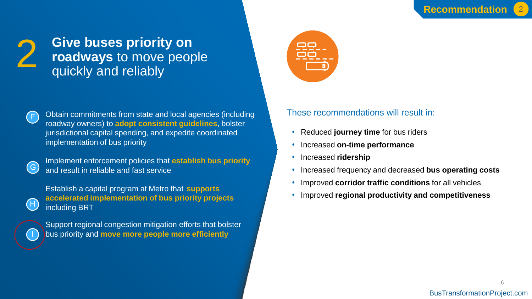## **Give buses priority on roadways** to move people quickly and reliably



Obtain commitments from state and local agencies (including roadway owners) to **adopt consistent guidelines**, bolster jurisdictional capital spending, and expedite coordinated implementation of bus priority



H

Implement enforcement policies that **establish bus priority**  and result in reliable and fast service

Establish a capital program at Metro that **supports accelerated implementation of bus priority projects** including BRT



Support regional congestion mitigation efforts that bolster bus priority and **move more people more efficiently**



- Reduced **journey time** for bus riders
- Increased **on-time performance**
- Increased **ridership**
- Increased frequency and decreased **bus operating costs**
- Improved **corridor traffic conditions** for all vehicles
- Improved **regional productivity and competitiveness**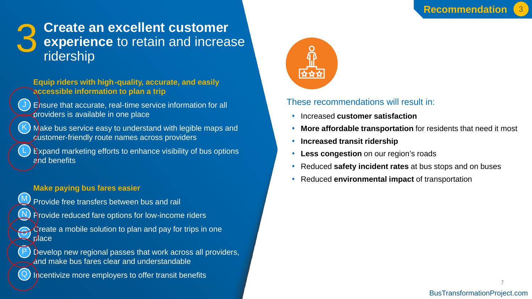## **Create an excellent customer experience** to retain and increase ridership

**Equip riders with high-quality, accurate, and easily accessible information to plan a trip**

Ensure that accurate, real-time service information for all providers is available in one place



L

M

N

 $\Theta$ 

P

Q

J

Make bus service easy to understand with legible maps and customer-friendly route names across providers

Expand marketing efforts to enhance visibility of bus options and benefits

#### **Make paying bus fares easier**

- Provide free transfers between bus and rail
- **Provide reduced fare options for low-income riders**
- Create a mobile solution to plan and pay for trips in one place

Develop new regional passes that work across all providers, and make bus fares clear and understandable

Incentivize more employers to offer transit benefits



- Increased **customer satisfaction**
- **More affordable transportation** for residents that need it most
- **Increased transit ridership**
- **Less congestion** on our region's roads
- Reduced **safety incident rates** at bus stops and on buses
- Reduced **environmental impact** of transportation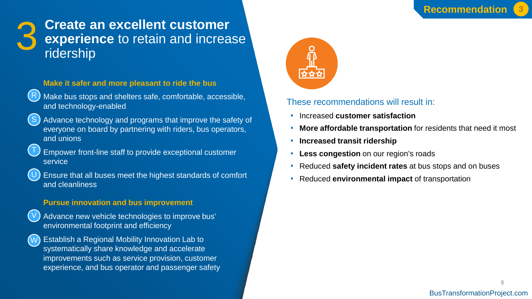

### **3 Create an excellent customer<br>8 experience** to retain and increase<br>ridership **experience** to retain and increase ridership

### **Make it safer and more pleasant to ride the bus**



- Make bus stops and shelters safe, comfortable, accessible, and technology-enabled
- S
- Advance technology and programs that improve the safety of everyone on board by partnering with riders, bus operators, and unions
- T

V

- Empower front-line staff to provide exceptional customer service
- Ensure that all buses meet the highest standards of comfort and cleanliness U

### **Pursue innovation and bus improvement**

- Advance new vehicle technologies to improve bus' environmental footprint and efficiency
- Establish a Regional Mobility Innovation Lab to systematically share knowledge and accelerate improvements such as service provision, customer experience, and bus operator and passenger safety W



- Increased **customer satisfaction**
- **More affordable transportation** for residents that need it most
- **Increased transit ridership**
- **Less congestion** on our region's roads
- Reduced **safety incident rates** at bus stops and on buses
- Reduced **environmental impact** of transportation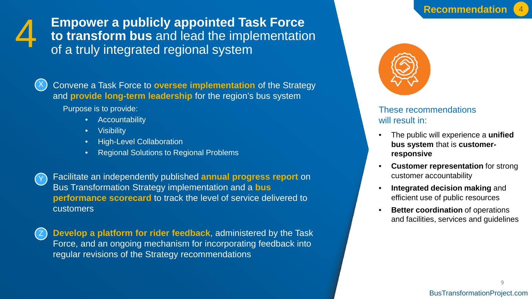

**Empower a publicly appointed Task Force to transform bus** and lead the implementation of a truly integrated regional system



Convene a Task Force to **oversee implementation** of the Strategy and **provide long-term leadership** for the region's bus system

Purpose is to provide:

- Accountability
- Visibility
- High-Level Collaboration
- Regional Solutions to Regional Problems

Y Facilitate an independently published **annual progress report** on Bus Transformation Strategy implementation and a **bus performance scorecard** to track the level of service delivered to customers

Z **Develop a platform for rider feedback**, administered by the Task Force, and an ongoing mechanism for incorporating feedback into regular revisions of the Strategy recommendations



- The public will experience a **unified bus system** that is **customerresponsive**
- **Customer representation** for strong customer accountability
- **Integrated decision making** and efficient use of public resources
- **Better coordination** of operations and facilities, services and guidelines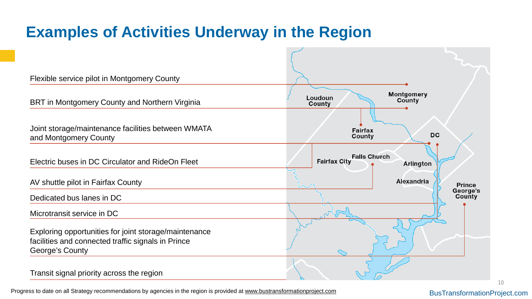## **Examples of Activities Underway in the Region**



Progress to date on all Strategy recommendations by agencies in the region is provided at [www.bustransformationproject.com](http://www.bustransformationproject.com/)

BusTransformationProject.com

10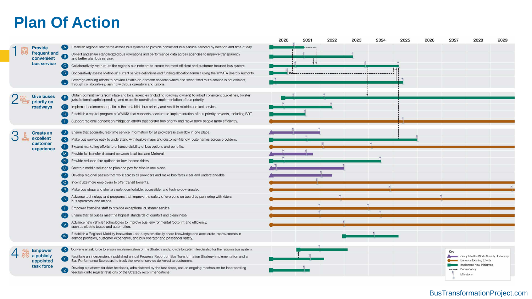### **Plan Of Action**

|  |                                              |                |                                                                                                                                                                                                                  | 2020 | 2021 | 2022 | 2023 | 2024 | 2025 | 2026 | 2027 | 2028                                                                                               | 2029 |
|--|----------------------------------------------|----------------|------------------------------------------------------------------------------------------------------------------------------------------------------------------------------------------------------------------|------|------|------|------|------|------|------|------|----------------------------------------------------------------------------------------------------|------|
|  | <b>Provide</b><br>frequent and<br>convenient |                | Establish regional standards across bus systems to provide consistent bus service, tailored by location and time of day.                                                                                         |      |      |      |      |      |      |      |      |                                                                                                    |      |
|  |                                              | $\mathbf{B}$   | Collect and share standardized bus operations and performance data across agencies to improve transparency<br>and better plan bus service.                                                                       |      |      |      |      |      |      |      |      |                                                                                                    |      |
|  | bus service                                  | $\overline{c}$ | Collaboratively restructure the region's bus network to create the most efficient and customer-focused bus system.                                                                                               |      |      |      |      |      |      |      |      |                                                                                                    |      |
|  |                                              |                | Cooperatively assess Metrobus' current service definitions and funding allocation formula using the WMATA Board's Authority.                                                                                     |      |      |      |      |      |      |      |      |                                                                                                    |      |
|  |                                              |                | Leverage existing efforts to provide flexible on-demand services where and when fixed route service is not efficient,<br>through collaborative planning with bus operators and unions.                           |      |      |      |      |      |      |      |      |                                                                                                    |      |
|  | <b>Give buses</b><br>priority on<br>roadways |                | Obtain commitments from state and local agencies (including roadway owners) to adopt consistent guidelines, bolster<br>jurisdictional capital spending, and expedite coordinated implementation of bus priority. |      |      |      |      |      |      |      |      |                                                                                                    |      |
|  |                                              | (G)            | Implement enforcement policies that establish bus priority and result in reliable and fast service.                                                                                                              |      |      |      |      |      |      |      |      |                                                                                                    |      |
|  |                                              |                | Establish a capital program at WMATA that supports accelerated implementation of bus priority projects, including BRT.                                                                                           |      |      |      |      |      |      |      |      |                                                                                                    |      |
|  |                                              |                | Support regional congestion mitigation efforts that bolster bus priority and move more people more efficiently.                                                                                                  |      |      |      |      |      |      |      |      |                                                                                                    |      |
|  | <b>Create an</b>                             |                | Ensure that accurate, real-time service information for all providers is available in one place.                                                                                                                 |      |      |      |      |      |      |      |      |                                                                                                    |      |
|  | excellent                                    |                | Make bus service easy to understand with legible maps and customer-friendly route names across providers.                                                                                                        |      |      |      |      |      |      |      |      |                                                                                                    |      |
|  | customer<br>experience                       |                | Expand marketing efforts to enhance visibility of bus options and benefits.                                                                                                                                      |      |      |      |      |      |      |      |      |                                                                                                    |      |
|  |                                              | (M)            | Provide full transfer discount between local bus and Metrorail.                                                                                                                                                  |      |      |      |      |      |      |      |      |                                                                                                    |      |
|  |                                              |                | Provide reduced fare options for low-income riders.                                                                                                                                                              |      |      |      |      |      |      |      |      |                                                                                                    |      |
|  |                                              |                | Create a mobile solution to plan and pay for trips in one place.                                                                                                                                                 |      |      |      |      |      |      |      |      |                                                                                                    |      |
|  |                                              |                | Develop regional passes that work across all providers and make bus fares clear and understandable.                                                                                                              |      |      |      |      |      |      |      |      |                                                                                                    |      |
|  |                                              |                | Incentivize more employers to offer transit benefits.                                                                                                                                                            |      |      |      |      |      |      |      |      |                                                                                                    |      |
|  |                                              |                | Make bus stops and shelters safe, comfortable, accessible, and technology-enabled.                                                                                                                               |      |      |      |      |      |      |      |      |                                                                                                    |      |
|  |                                              |                | Advance technology and programs that improve the safety of everyone on board by partnering with riders,<br>bus operators, and unions.                                                                            |      |      |      |      |      |      |      |      |                                                                                                    |      |
|  |                                              |                | Empower front-line staff to provide exceptional customer service.                                                                                                                                                |      |      |      |      |      |      |      |      |                                                                                                    |      |
|  |                                              |                | Ensure that all buses meet the highest standards of comfort and cleanliness.                                                                                                                                     |      |      |      |      |      |      |      |      |                                                                                                    |      |
|  |                                              |                | Advance new vehicle technologies to improve bus' environmental footprint and efficiency,<br>such as electric buses and automation.                                                                               |      |      |      |      |      |      |      |      |                                                                                                    |      |
|  |                                              |                | Establish a Regional Mobility Innovation Lab to systematically share knowledge and accelerate improvements in<br>service provision, customer experience, and bus operator and passenger safety.                  |      |      |      |      |      |      |      |      |                                                                                                    |      |
|  | <b>Empower</b><br>a publicly<br>appointed    |                | [X] Convene a task force to ensure implementation of the Strategy and provide long-term leadership for the region's bus system.                                                                                  |      |      |      |      |      |      |      | Key  |                                                                                                    |      |
|  |                                              | W              | Facilitate an independently published annual Progress Report on Bus Transformation Strategy implementation and a<br>Bus Performance Scorecard to track the level of service delivered to customers.              |      |      |      |      |      |      |      |      | Complete the Work Already Underway<br><b>Enhance Existing Efforts</b><br>Implement New Initiatives |      |
|  | task force                                   |                | Develop a platform for rider feedback, administered by the task force, and an ongoing mechanism for incorporating<br>feedback into regular revisions of the Strategy recommendations.                            |      |      |      |      |      |      |      |      | Dependency<br>Milestone                                                                            |      |
|  |                                              |                |                                                                                                                                                                                                                  |      |      |      |      |      |      |      |      |                                                                                                    |      |

### BusTransformationProject.com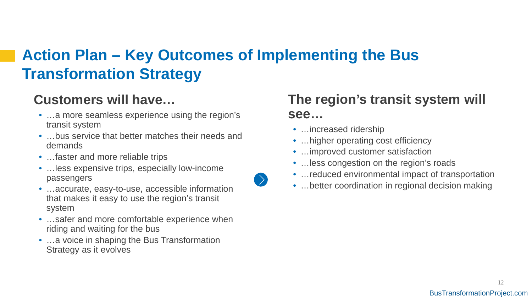## **Action Plan – Key Outcomes of Implementing the Bus Transformation Strategy**

### **Customers will have…**

- ... a more seamless experience using the region's transit system
- …bus service that better matches their needs and demands
- ... faster and more reliable trips
- …less expensive trips, especially low-income passengers
- …accurate, easy-to-use, accessible information that makes it easy to use the region's transit system
- …safer and more comfortable experience when riding and waiting for the bus
- …a voice in shaping the Bus Transformation Strategy as it evolves

### **The region's transit system will see…**

- …increased ridership
- ... higher operating cost efficiency
- …improved customer satisfaction
- ... less congestion on the region's roads
- ... reduced environmental impact of transportation
- ... better coordination in regional decision making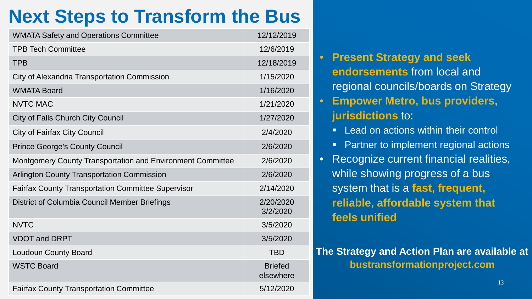## **Next Steps to Transform the Bus**

| <b>WMATA Safety and Operations Committee</b>                      | 12/12/2019                  |
|-------------------------------------------------------------------|-----------------------------|
| <b>TPB Tech Committee</b>                                         | 12/6/2019                   |
| <b>TPB</b>                                                        | 12/18/2019                  |
| City of Alexandria Transportation Commission                      | 1/15/2020                   |
| <b>WMATA Board</b>                                                | 1/16/2020                   |
| <b>NVTC MAC</b>                                                   | 1/21/2020                   |
| <b>City of Falls Church City Council</b>                          | 1/27/2020                   |
| <b>City of Fairfax City Council</b>                               | 2/4/2020                    |
| <b>Prince George's County Council</b>                             | 2/6/2020                    |
| <b>Montgomery County Transportation and Environment Committee</b> | 2/6/2020                    |
| <b>Arlington County Transportation Commission</b>                 | 2/6/2020                    |
| <b>Fairfax County Transportation Committee Supervisor</b>         | 2/14/2020                   |
| District of Columbia Council Member Briefings                     | 2/20/2020<br>3/2/2020       |
| <b>NVTC</b>                                                       | 3/5/2020                    |
| <b>VDOT and DRPT</b>                                              | 3/5/2020                    |
| <b>Loudoun County Board</b>                                       | <b>TBD</b>                  |
| <b>WSTC Board</b>                                                 | <b>Briefed</b><br>elsewhere |
| <b>Fairfax County Transportation Committee</b>                    | 5/12/2020                   |

- **Present Strategy and seek endorsements** from local and regional councils/boards on Strategy • **Empower Metro, bus providers,**
- **jurisdictions** to:
- **Lead on actions within their control**
- **Partner to implement regional actions**
- Recognize current financial realities, while showing progress of a bus system that is a **fast, frequent, reliable, affordable system that feels unified**

### **The Strategy and Action Plan are available at bustransformationproject.com**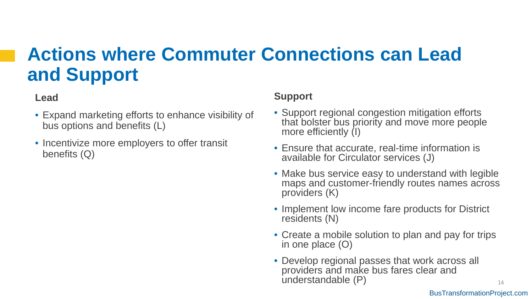## **Actions where Commuter Connections can Lead and Support**

### **Lead**

- Expand marketing efforts to enhance visibility of bus options and benefits (L)
- Incentivize more employers to offer transit benefits (Q)

### **Support**

- Support regional congestion mitigation efforts that bolster bus priority and move more people more efficiently (I)
- Ensure that accurate, real-time information is available for Circulator services (J)
- Make bus service easy to understand with legible maps and customer-friendly routes names across providers (K)
- Implement low income fare products for District residents (N)
- Create a mobile solution to plan and pay for trips in one place (O)
- Develop regional passes that work across all providers and make bus fares clear and understandable (P)

14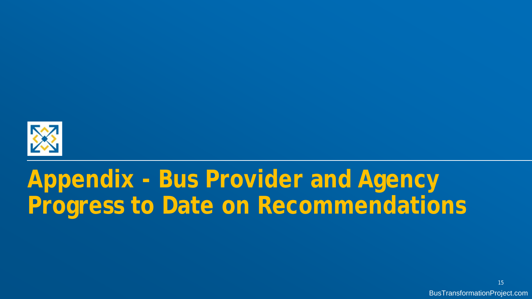

# **Appendix - Bus Provider and Agency Progress to Date on Recommendations**

15 BusTransformationProject.com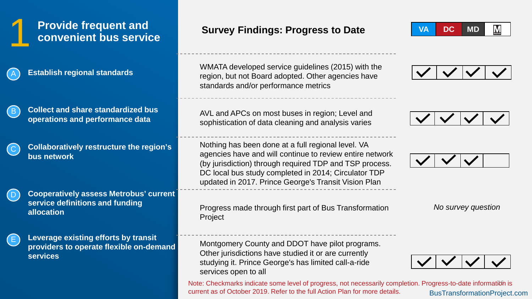## **Provide frequent and <br>1 <b>convenient bus service Survey Findings: Progress to Date**



C

D

**Establish regional standards**



**Collaboratively restructure the region's bus network**

**Cooperatively assess Metrobus' current service definitions and funding allocation**



**Leverage existing efforts by transit providers to operate flexible on-demand services**

WMATA developed service guidelines (2015) with the region, but not Board adopted. Other agencies have standards and/or performance metrics

AVL and APCs on most buses in region; Level and sophistication of data cleaning and analysis varies

Nothing has been done at a full regional level. VA agencies have and will continue to review entire network (by jurisdiction) through required TDP and TSP process. DC local bus study completed in 2014; Circulator TDP updated in 2017. Prince George's Transit Vision Plan

Progress made through first part of Bus Transformation Project

Montgomery County and DDOT have pilot programs. Other jurisdictions have studied it or are currently studying it. Prince George's has limited call-a-ride services open to all

Note: Checkmarks indicate some level of progress, not necessarily completion. Progress-to-date information is BusTransformationProject.com current as of October 2019. Refer to the full Action Plan for more details.









*No survey question*

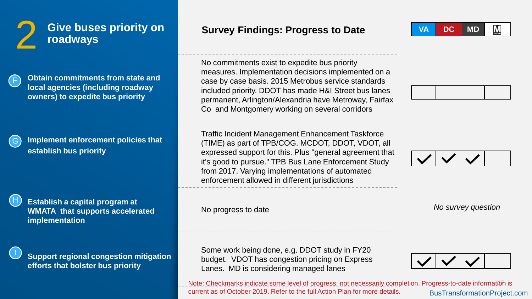

**Obtain commitments from state and local agencies (including roadway owners) to expedite bus priority**

F

H

I

**Implement enforcement policies that establish bus priority**

**Establish a capital program at WMATA that supports accelerated implementation**

**Support regional congestion mitigation efforts that bolster bus priority**

**Survey Findings: Progress to Date** 

No commitments exist to expedite bus priority measures. Implementation decisions implemented on a case by case basis. 2015 Metrobus service standards included priority. DDOT has made H&I Street bus lanes permanent, Arlington/Alexandria have Metroway, Fairfax Co and Montgomery working on several corridors

Traffic Incident Management Enhancement Taskforce (TIME) as part of TPB/COG. MCDOT, DDOT, VDOT, all expressed support for this. Plus "general agreement that it's good to pursue." TPB Bus Lane Enforcement Study from 2017. Varying implementations of automated enforcement allowed in different jurisdictions

No progress to date

Some work being done, e.g. DDOT study in FY20 budget. VDOT has congestion pricing on Express Lanes. MD is considering managed lanes

Note: Checkmarks indicate some level of progress, not necessarily completion. Progress-to-date information is BusTransformationProject.com current as of October 2019. Refer to the full Action Plan for more details.







*No survey question*

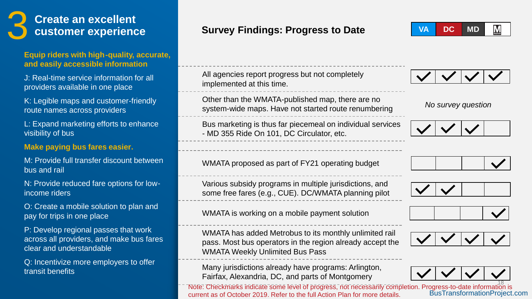# **Create an excellent<br>
<b>Customer experience**

### **Equip riders with high-quality, accurate, and easily accessible information**

J: Real-time service information for all providers available in one place

K: Legible maps and customer-friendly route names across providers

L: Expand marketing efforts to enhance visibility of bus

### **Make paying bus fares easier.**

M: Provide full transfer discount between bus and rail

N: Provide reduced fare options for lowincome riders

O: Create a mobile solution to plan and pay for trips in one place

P: Develop regional passes that work across all providers, and make bus fares clear and understandable

Q: Incentivize more employers to offer transit benefits

### **Survey Findings: Progress to Date**

 $M_{\text{metro}}$ **VA DC MD**

All agencies report progress but not completely implemented at this time.

Other than the WMATA-published map, there are no system-wide maps. Have not started route renumbering

Bus marketing is thus far piecemeal on individual services - MD 355 Ride On 101, DC Circulator, etc.

WMATA proposed as part of FY21 operating budget

Various subsidy programs in multiple jurisdictions, and some free fares (e.g., CUE). DC/WMATA planning pilot

WMATA is working on a mobile payment solution

WMATA has added Metrobus to its monthly unlimited rail pass. Most bus operators in the region already accept the WMATA Weekly Unlimited Bus Pass

Many jurisdictions already have programs: Arlington, Fairfax, Alexandria, DC, and parts of Montgomery

Nōfe: Checkmarks indicate some level of progress, not necessarily completion. Progress-to-date information is<br>current as of October 2019. Refer to the full Action Plan for more details. BusTransformationProject.com current as of October 2019. Refer to the full Action Plan for more details.



*No survey question*











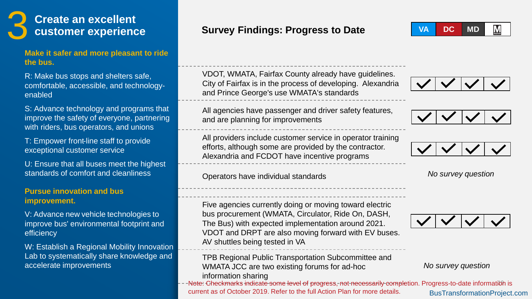# **Create an excellent<br>customer experience**

#### **Make it safer and more pleasant to ride the bus.**

R: Make bus stops and shelters safe, comfortable, accessible, and technologyenabled

S: Advance technology and programs that improve the safety of everyone, partnering with riders, bus operators, and unions

T: Empower front-line staff to provide exceptional customer service

U: Ensure that all buses meet the highest standards of comfort and cleanliness

### **Pursue innovation and bus improvement.**

V: Advance new vehicle technologies to improve bus' environmental footprint and efficiency

W: Establish a Regional Mobility Innovation Lab to systematically share knowledge and accelerate improvements

### **Survey Findings: Progress to Date**

VDOT, WMATA, Fairfax County already have guidelines. City of Fairfax is in the process of developing. Alexandria and Prince George's use WMATA's standards

All agencies have passenger and driver safety features, and are planning for improvements

All providers include customer service in operator training efforts, although some are provided by the contractor. Alexandria and FCDOT have incentive programs

#### Operators have individual standards

Five agencies currently doing or moving toward electric bus procurement (WMATA, Circulator, Ride On, DASH, The Bus) with expected implementation around 2021. VDOT and DRPT are also moving forward with EV buses. AV shuttles being tested in VA

TPB Regional Public Transportation Subcommittee and WMATA JCC are two existing forums for ad-hoc information sharing

Note: Checkmarks indicate some level of progress, not necessarily completion. Progress-to-date information is BusTransformationProject.com current as of October 2019. Refer to the full Action Plan for more details.





*No survey question*



*No survey question*

#### $M_{\text{inter}}$ **VA DC MD**